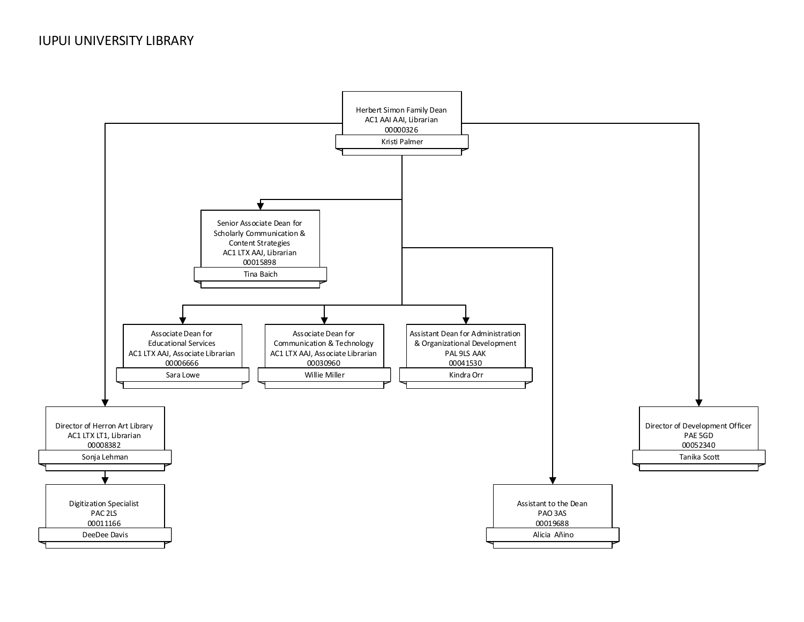<span id="page-0-0"></span>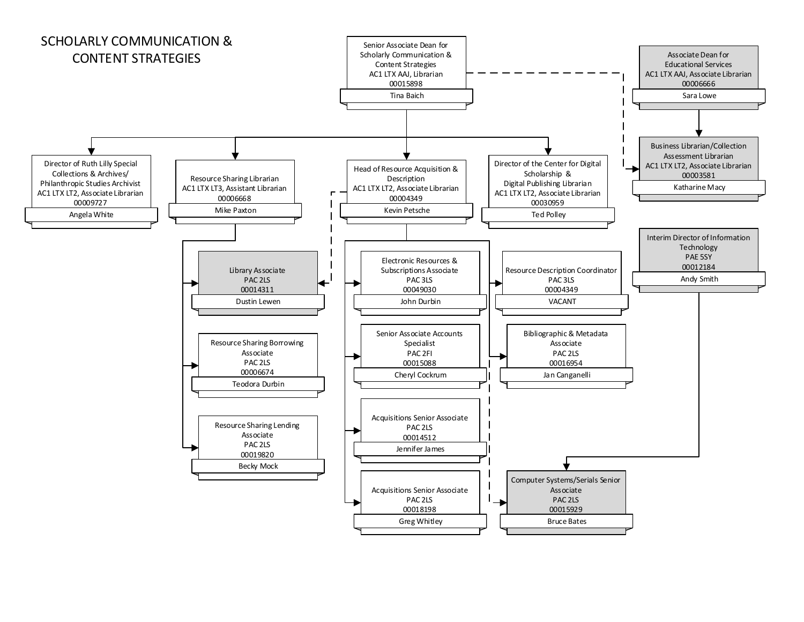<span id="page-1-0"></span>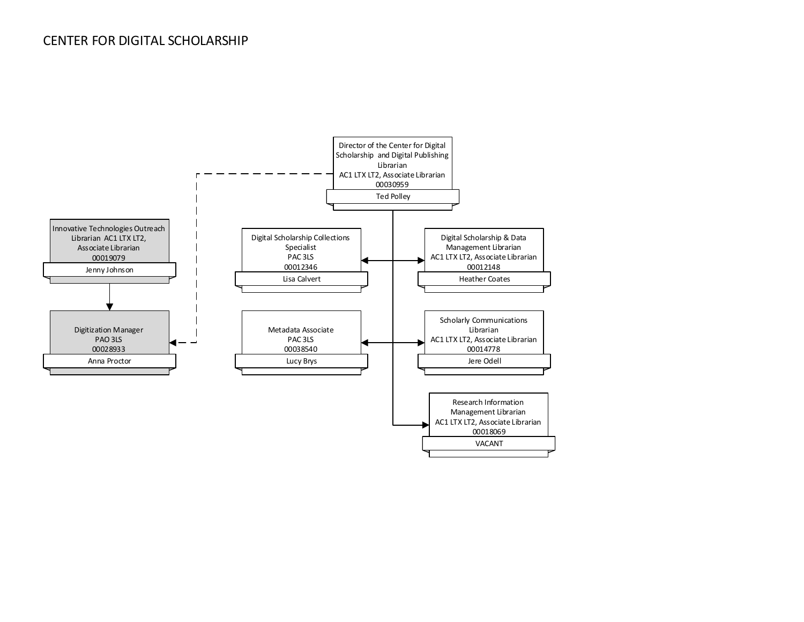### <span id="page-2-0"></span>CENTER FOR DIGITAL SCHOLARSHIP

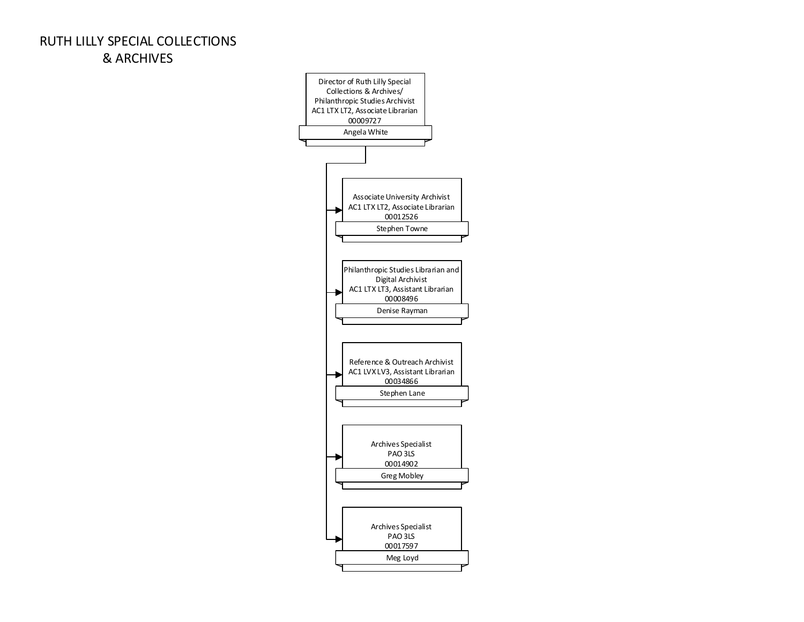# <span id="page-3-0"></span>RUTH LILLY SPECIAL COLLECTIONS & ARCHIVES

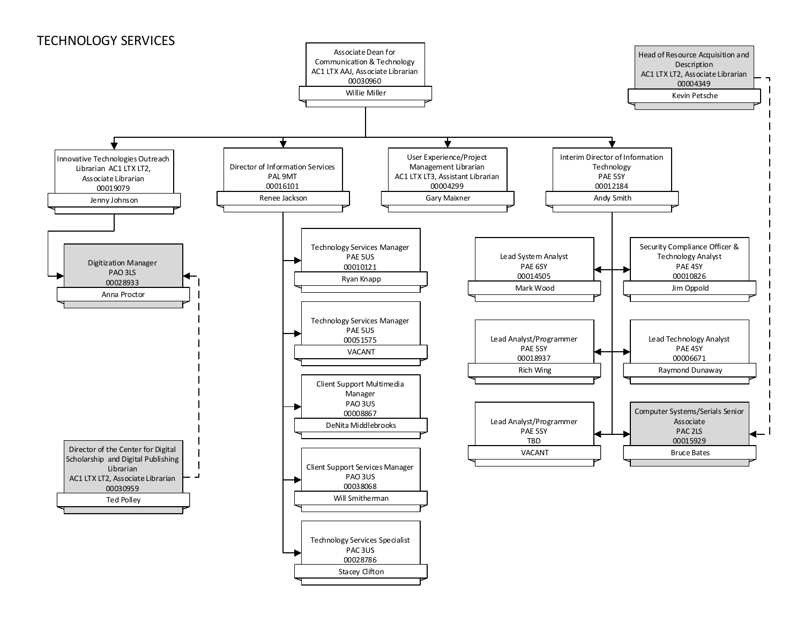### <span id="page-4-0"></span>TECHNOLOGY SERVICES

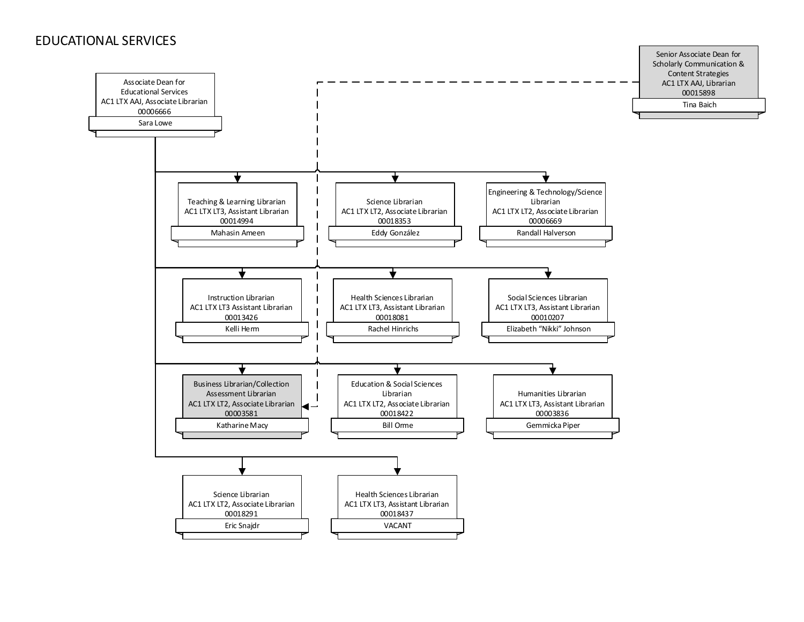#### <span id="page-5-0"></span>EDUCATIONAL SERVICES